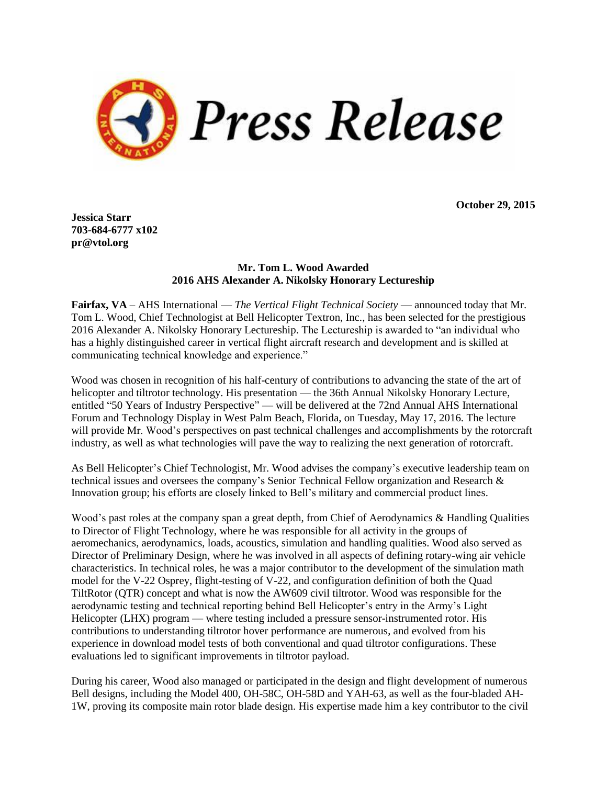

**October 29, 2015**

**Jessica Starr 703-684-6777 x102 pr@vtol.org**

## **Mr. Tom L. Wood Awarded 2016 AHS Alexander A. Nikolsky Honorary Lectureship**

**Fairfax, VA** – AHS International — *The Vertical Flight Technical Society* — announced today that Mr. Tom L. Wood, Chief Technologist at Bell Helicopter Textron, Inc., has been selected for the prestigious 2016 Alexander A. Nikolsky Honorary Lectureship. The Lectureship is awarded to "an individual who has a highly distinguished career in vertical flight aircraft research and development and is skilled at communicating technical knowledge and experience."

Wood was chosen in recognition of his half-century of contributions to advancing the state of the art of helicopter and tiltrotor technology. His presentation — the 36th Annual Nikolsky Honorary Lecture, entitled "50 Years of Industry Perspective" — will be delivered at the 72nd Annual AHS International Forum and Technology Display in West Palm Beach, Florida, on Tuesday, May 17, 2016. The lecture will provide Mr. Wood's perspectives on past technical challenges and accomplishments by the rotorcraft industry, as well as what technologies will pave the way to realizing the next generation of rotorcraft.

As Bell Helicopter's Chief Technologist, Mr. Wood advises the company's executive leadership team on technical issues and oversees the company's Senior Technical Fellow organization and Research & Innovation group; his efforts are closely linked to Bell's military and commercial product lines.

Wood's past roles at the company span a great depth, from Chief of Aerodynamics & Handling Qualities to Director of Flight Technology, where he was responsible for all activity in the groups of aeromechanics, aerodynamics, loads, acoustics, simulation and handling qualities. Wood also served as Director of Preliminary Design, where he was involved in all aspects of defining rotary-wing air vehicle characteristics. In technical roles, he was a major contributor to the development of the simulation math model for the V-22 Osprey, flight-testing of V-22, and configuration definition of both the Quad TiltRotor (QTR) concept and what is now the AW609 civil tiltrotor. Wood was responsible for the aerodynamic testing and technical reporting behind Bell Helicopter's entry in the Army's Light Helicopter (LHX) program — where testing included a pressure sensor-instrumented rotor. His contributions to understanding tiltrotor hover performance are numerous, and evolved from his experience in download model tests of both conventional and quad tiltrotor configurations. These evaluations led to significant improvements in tiltrotor payload.

During his career, Wood also managed or participated in the design and flight development of numerous Bell designs, including the Model 400, OH-58C, OH-58D and YAH-63, as well as the four-bladed AH-1W, proving its composite main rotor blade design. His expertise made him a key contributor to the civil